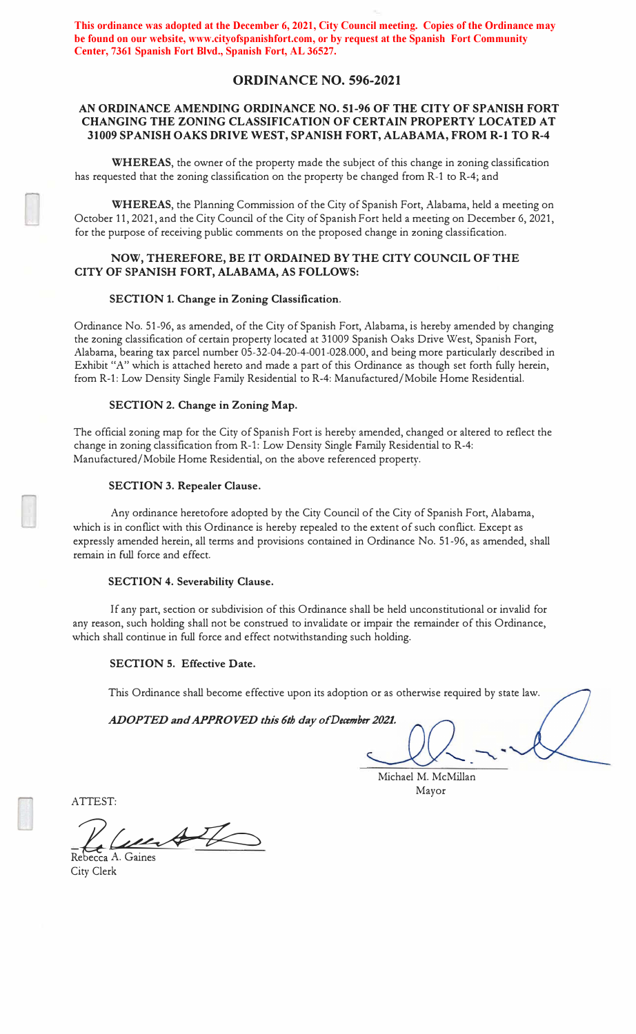**This ordinance was adopted at the December 6, 2021, City Council meeting. Copies of the Ordinance may be found on our website, www.cityofspanishfort.com, or by request at the Spanish Fort Community Center, 7361 Spanish Fort Blvd., Spanish Fort, AL 36527.**

# **ORDINANCE NO. 596-2021**

# **AN ORDINANCE AMENDING ORDINANCE NO. 51-96 OF THE CITY OF SPANISH FORT CHANGING THE ZONING CLASSIFICATION OF CERTAIN PROPERTY LOCATED AT 31009 SPANISH OAKS DRIVE WEST, SPANISH FORT, ALABAMA, FROM R-1 TO R-4**

**WHEREAS,** the owner of the property made the subject of this change in zoning classification has requested that the zoning classification on the property be changed from R-1 to R-4; and

**WHEREAS,** the Planning Commission of the City of Spanish Fort, Alabama, held a meeting on October 11, 2021, and the City Council of the City of Spanish Fort held a meeting on December 6, 2021, for the purpose of receiving public comments on the proposed change in zoning classification.

## **NOW, THEREFORE, BE IT ORDAINED BY THE CITY COUNCIL OF THE CITY OF SPANISH FORT, ALABAMA, AS FOLLOWS:**

#### **SECTION 1. Change in Zoning Classification.**

Ordinance No. 51-96, as amended, of the City of Spanish Fort, Alabama, is hereby amended by changing the zoning classification of certain property located at 31009 Spanish Oaks Drive West, Spanish Fort, Alabama, bearing tax parcel number 05-32-04-20-4-001-028.000, and being more particularly described in Exhibit "A" which is attached hereto and made a part of this Ordinance as though set forth fully herein, from R-1: Low Density Single Family Residential to R-4: Manufactured/Mobile Home Residential.

### **SECTION 2. Change in Zoning Map.**

The official zoning map for the City of Spanish Fort is hereby amended, changed or altered to reflect the change in zoning classification from R-1: Low Density Single Family Residential to R-4: Manufactured/Mobile Home Residential, on the above referenced property.

### **SECTION 3. Repealer Clause.**

Any ordinance heretofore adopted by the City Council of the City of Spanish Fort, Alabama, which is in conflict with this Ordinance is hereby repealed to the extent of such conflict. Except as expressly amended herein, all terms and provisions contained in Ordinance No. 51-96, as amended, shall remain in full force and effect.

#### **SECTION 4. Severability Clause.**

If any part, section or subdivision of this Ordinance shall be held unconstitutional or invalid for any reason, such holding shall not be construed to invalidate or impair the remainder of this Ordinance, which shall continue in full force and effect notwithstanding such holding.

## **SECTION 5. Effective Date.**

This Ordinance shall become effective upon its adoption or as otherwise required by state law.

*ADOPTED and APPROVED this 6th day of December 2021.* 

Michael M. McMillan Mayor

ATTEST:

Rebecca A. Gaines

City Clerk